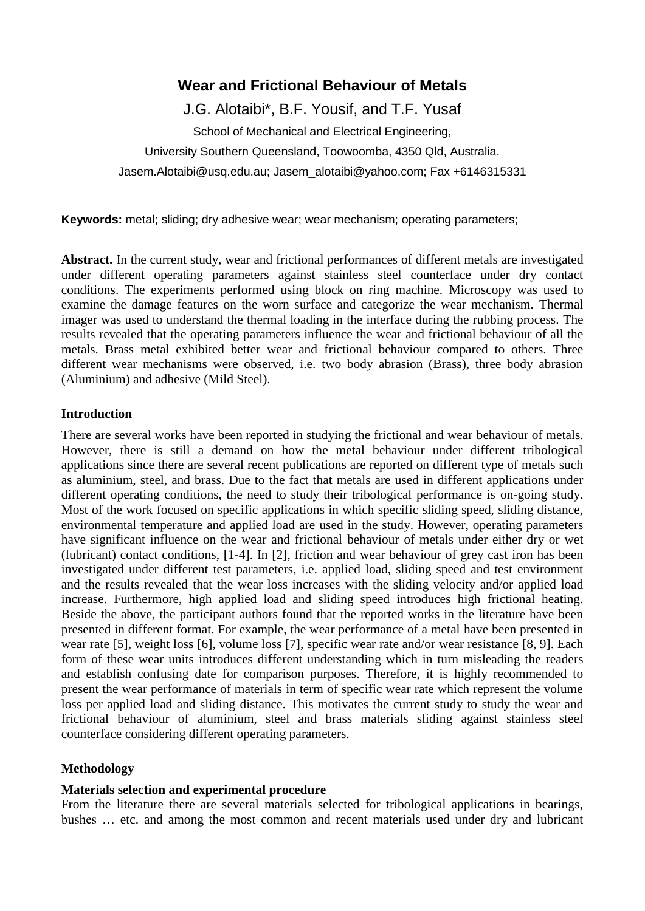# **Wear and Frictional Behaviour of Metals**

J.G. Alotaibi\*, B.F. Yousif, and T.F. Yusaf

School of Mechanical and Electrical Engineering,

University Southern Queensland, Toowoomba, 4350 Qld, Australia.

Jasem.Alotaibi@usq.edu.au; Jasem\_alotaibi@yahoo.com; Fax +6146315331

**Keywords:** metal; sliding; dry adhesive wear; wear mechanism; operating parameters;

**Abstract.** In the current study, wear and frictional performances of different metals are investigated under different operating parameters against stainless steel counterface under dry contact conditions. The experiments performed using block on ring machine. Microscopy was used to examine the damage features on the worn surface and categorize the wear mechanism. Thermal imager was used to understand the thermal loading in the interface during the rubbing process. The results revealed that the operating parameters influence the wear and frictional behaviour of all the metals. Brass metal exhibited better wear and frictional behaviour compared to others. Three different wear mechanisms were observed, i.e. two body abrasion (Brass), three body abrasion (Aluminium) and adhesive (Mild Steel).

## **Introduction**

There are several works have been reported in studying the frictional and wear behaviour of metals. However, there is still a demand on how the metal behaviour under different tribological applications since there are several recent publications are reported on different type of metals such as aluminium, steel, and brass. Due to the fact that metals are used in different applications under different operating conditions, the need to study their tribological performance is on-going study. Most of the work focused on specific applications in which specific sliding speed, sliding distance, environmental temperature and applied load are used in the study. However, operating parameters have significant influence on the wear and frictional behaviour of metals under either dry or wet (lubricant) contact conditions, [\[1-4\]](#page-5-0). In [\[2\]](#page-5-1), friction and wear behaviour of grey cast iron has been investigated under different test parameters, i.e. applied load, sliding speed and test environment and the results revealed that the wear loss increases with the sliding velocity and/or applied load increase. Furthermore, high applied load and sliding speed introduces high frictional heating. Beside the above, the participant authors found that the reported works in the literature have been presented in different format. For example, the wear performance of a metal have been presented in wear rate [\[5\]](#page-5-2), weight loss [\[6\]](#page-5-3), volume loss [\[7\]](#page-5-4), specific wear rate and/or wear resistance [\[8,](#page-5-5) [9\]](#page-5-6). Each form of these wear units introduces different understanding which in turn misleading the readers and establish confusing date for comparison purposes. Therefore, it is highly recommended to present the wear performance of materials in term of specific wear rate which represent the volume loss per applied load and sliding distance. This motivates the current study to study the wear and frictional behaviour of aluminium, steel and brass materials sliding against stainless steel counterface considering different operating parameters.

#### **Methodology**

#### **Materials selection and experimental procedure**

From the literature there are several materials selected for tribological applications in bearings, bushes … etc. and among the most common and recent materials used under dry and lubricant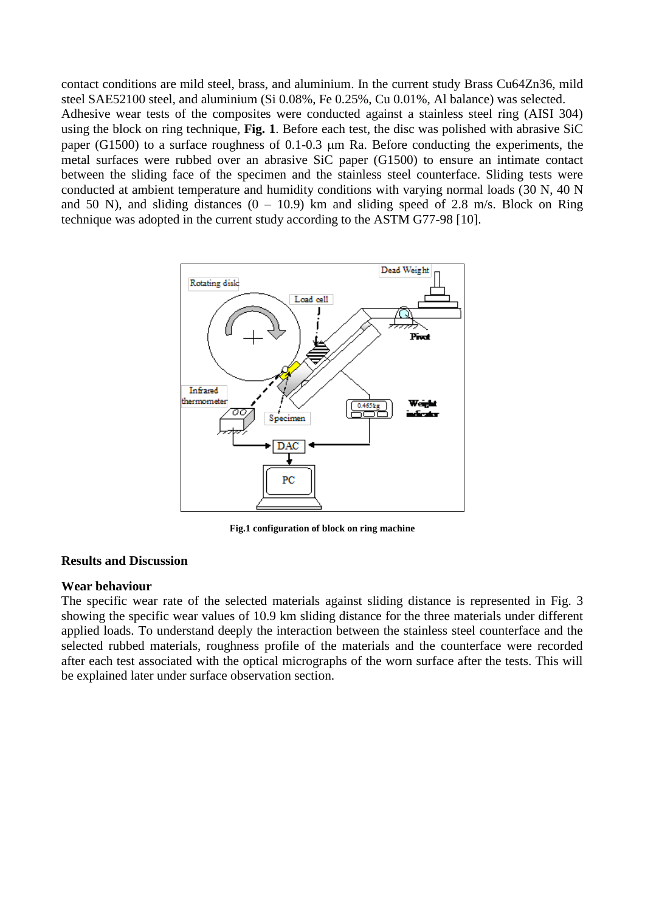contact conditions are mild steel, brass, and aluminium. In the current study Brass Cu64Zn36, mild steel SAE52100 steel, and aluminium (Si 0.08%, Fe 0.25%, Cu 0.01%, Al balance) was selected. Adhesive wear tests of the composites were conducted against a stainless steel ring (AISI 304) using the block on ring technique, **Fig. 1**. Before each test, the disc was polished with abrasive SiC paper (G1500) to a surface roughness of  $0.1$ - $0.3$   $\mu$ m Ra. Before conducting the experiments, the metal surfaces were rubbed over an abrasive SiC paper (G1500) to ensure an intimate contact between the sliding face of the specimen and the stainless steel counterface. Sliding tests were conducted at ambient temperature and humidity conditions with varying normal loads (30 N, 40 N and 50 N), and sliding distances  $(0 - 10.9)$  km and sliding speed of 2.8 m/s. Block on Ring technique was adopted in the current study according to the ASTM G77-98 [\[10\]](#page-5-7).



**Fig.1 configuration of block on ring machine** 

#### **Results and Discussion**

#### **Wear behaviour**

The specific wear rate of the selected materials against sliding distance is represented in Fig. 3 showing the specific wear values of 10.9 km sliding distance for the three materials under different applied loads. To understand deeply the interaction between the stainless steel counterface and the selected rubbed materials, roughness profile of the materials and the counterface were recorded after each test associated with the optical micrographs of the worn surface after the tests. This will be explained later under surface observation section.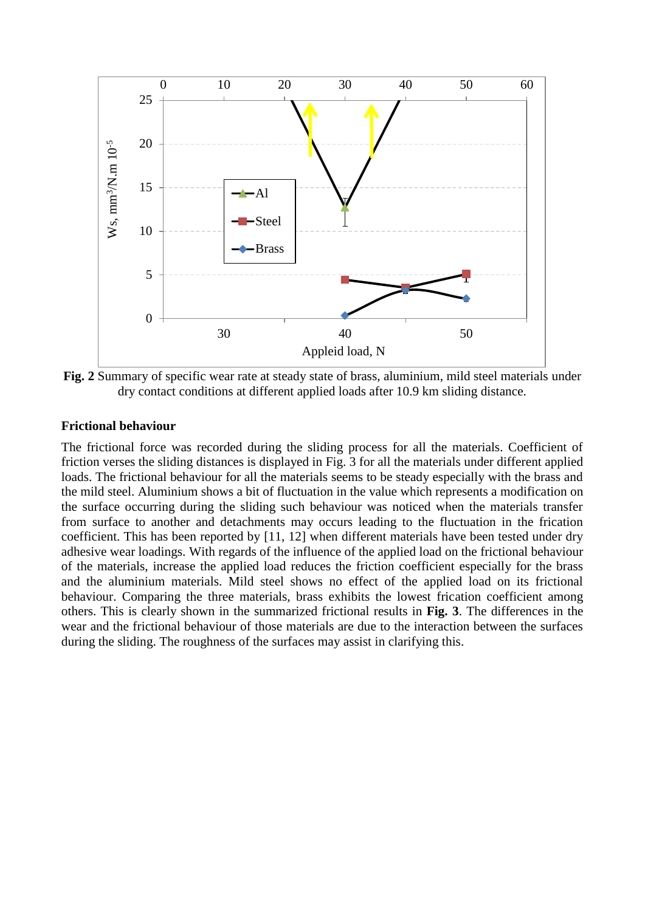

**Fig. 2** Summary of specific wear rate at steady state of brass, aluminium, mild steel materials under dry contact conditions at different applied loads after 10.9 km sliding distance.

#### **Frictional behaviour**

The frictional force was recorded during the sliding process for all the materials. Coefficient of friction verses the sliding distances is displayed in Fig. 3 for all the materials under different applied loads. The frictional behaviour for all the materials seems to be steady especially with the brass and the mild steel. Aluminium shows a bit of fluctuation in the value which represents a modification on the surface occurring during the sliding such behaviour was noticed when the materials transfer from surface to another and detachments may occurs leading to the fluctuation in the frication coefficient. This has been reported by [\[11,](#page-5-8) [12\]](#page-5-9) when different materials have been tested under dry adhesive wear loadings. With regards of the influence of the applied load on the frictional behaviour of the materials, increase the applied load reduces the friction coefficient especially for the brass and the aluminium materials. Mild steel shows no effect of the applied load on its frictional behaviour. Comparing the three materials, brass exhibits the lowest frication coefficient among others. This is clearly shown in the summarized frictional results in **Fig. 3**. The differences in the wear and the frictional behaviour of those materials are due to the interaction between the surfaces during the sliding. The roughness of the surfaces may assist in clarifying this.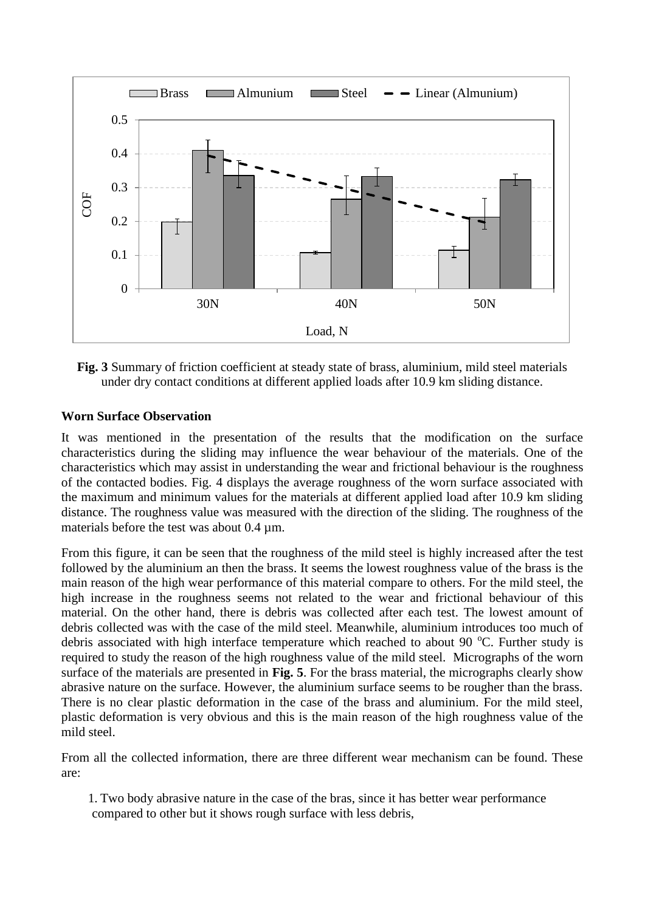

**Fig. 3** Summary of friction coefficient at steady state of brass, aluminium, mild steel materials under dry contact conditions at different applied loads after 10.9 km sliding distance.

## **Worn Surface Observation**

It was mentioned in the presentation of the results that the modification on the surface characteristics during the sliding may influence the wear behaviour of the materials. One of the characteristics which may assist in understanding the wear and frictional behaviour is the roughness of the contacted bodies. Fig. 4 displays the average roughness of the worn surface associated with the maximum and minimum values for the materials at different applied load after 10.9 km sliding distance. The roughness value was measured with the direction of the sliding. The roughness of the materials before the test was about 0.4  $\mu$ m.

From this figure, it can be seen that the roughness of the mild steel is highly increased after the test followed by the aluminium an then the brass. It seems the lowest roughness value of the brass is the main reason of the high wear performance of this material compare to others. For the mild steel, the high increase in the roughness seems not related to the wear and frictional behaviour of this material. On the other hand, there is debris was collected after each test. The lowest amount of debris collected was with the case of the mild steel. Meanwhile, aluminium introduces too much of debris associated with high interface temperature which reached to about 90  $^{\circ}$ C. Further study is required to study the reason of the high roughness value of the mild steel. Micrographs of the worn surface of the materials are presented in **Fig. 5**. For the brass material, the micrographs clearly show abrasive nature on the surface. However, the aluminium surface seems to be rougher than the brass. There is no clear plastic deformation in the case of the brass and aluminium. For the mild steel, plastic deformation is very obvious and this is the main reason of the high roughness value of the mild steel.

From all the collected information, there are three different wear mechanism can be found. These are:

1. Two body abrasive nature in the case of the bras, since it has better wear performance compared to other but it shows rough surface with less debris,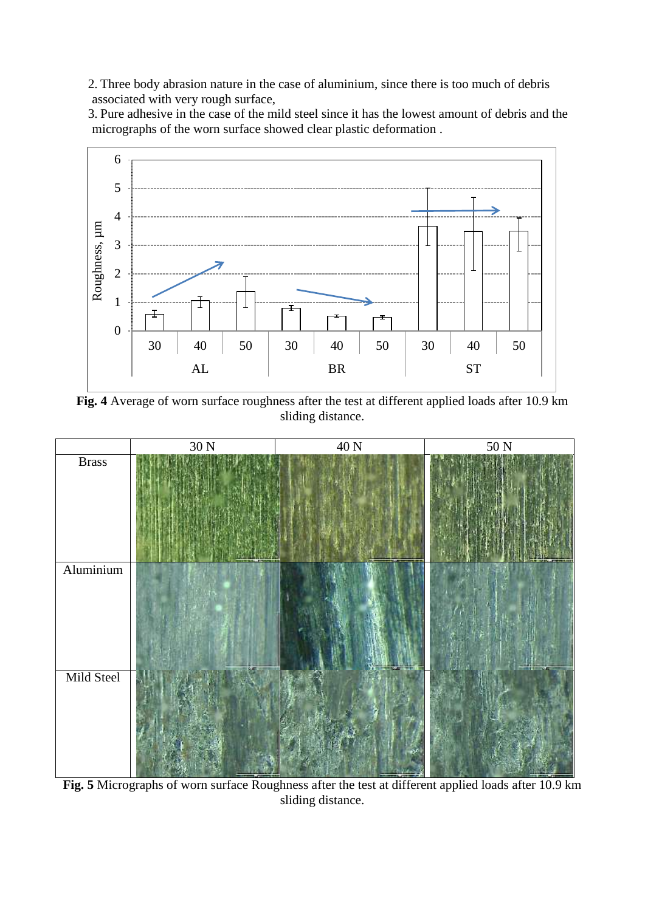2. Three body abrasion nature in the case of aluminium, since there is too much of debris associated with very rough surface,

3. Pure adhesive in the case of the mild steel since it has the lowest amount of debris and the micrographs of the worn surface showed clear plastic deformation .



**Fig. 4** Average of worn surface roughness after the test at different applied loads after 10.9 km sliding distance.



**Fig. 5** Micrographs of worn surface Roughness after the test at different applied loads after 10.9 km sliding distance.